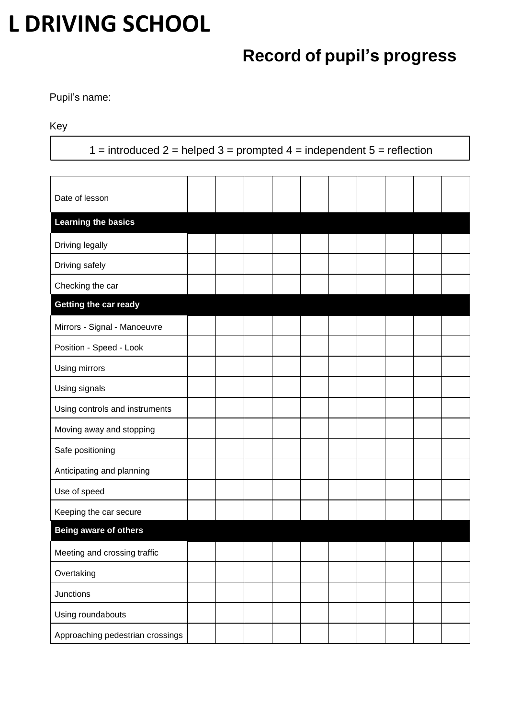#### **Record of pupil's progress**

Pupil's name:

Key

1 = introduced 2 = helped 3 = prompted 4 = independent  $5$  = reflection

| Date of lesson                   |  |  |  |  |  |
|----------------------------------|--|--|--|--|--|
| <b>Learning the basics</b>       |  |  |  |  |  |
| Driving legally                  |  |  |  |  |  |
| Driving safely                   |  |  |  |  |  |
| Checking the car                 |  |  |  |  |  |
| <b>Getting the car ready</b>     |  |  |  |  |  |
| Mirrors - Signal - Manoeuvre     |  |  |  |  |  |
| Position - Speed - Look          |  |  |  |  |  |
| Using mirrors                    |  |  |  |  |  |
| Using signals                    |  |  |  |  |  |
| Using controls and instruments   |  |  |  |  |  |
| Moving away and stopping         |  |  |  |  |  |
| Safe positioning                 |  |  |  |  |  |
| Anticipating and planning        |  |  |  |  |  |
| Use of speed                     |  |  |  |  |  |
| Keeping the car secure           |  |  |  |  |  |
| Being aware of others            |  |  |  |  |  |
| Meeting and crossing traffic     |  |  |  |  |  |
| Overtaking                       |  |  |  |  |  |
| Junctions                        |  |  |  |  |  |
| Using roundabouts                |  |  |  |  |  |
| Approaching pedestrian crossings |  |  |  |  |  |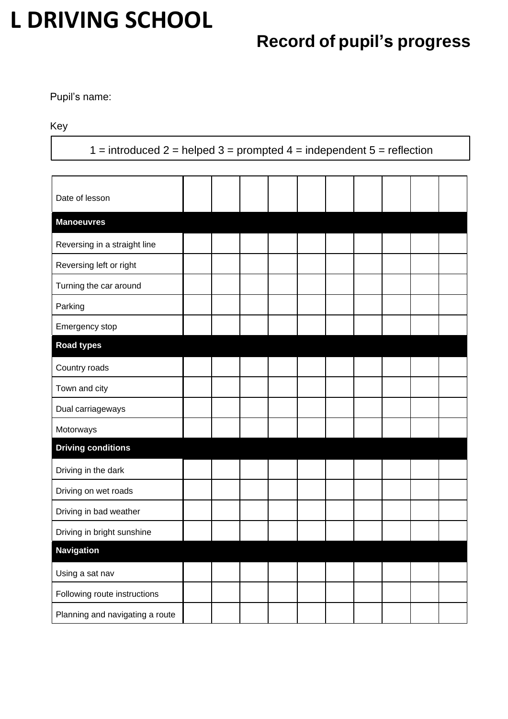#### **Record of pupil's progress**

Pupil's name:

Key

1 = introduced 2 = helped 3 = prompted 4 = independent  $5$  = reflection

| Date of lesson                  |  |  |  |  |  |
|---------------------------------|--|--|--|--|--|
| <b>Manoeuvres</b>               |  |  |  |  |  |
| Reversing in a straight line    |  |  |  |  |  |
| Reversing left or right         |  |  |  |  |  |
| Turning the car around          |  |  |  |  |  |
| Parking                         |  |  |  |  |  |
| Emergency stop                  |  |  |  |  |  |
| <b>Road types</b>               |  |  |  |  |  |
| Country roads                   |  |  |  |  |  |
| Town and city                   |  |  |  |  |  |
| Dual carriageways               |  |  |  |  |  |
| Motorways                       |  |  |  |  |  |
| <b>Driving conditions</b>       |  |  |  |  |  |
| Driving in the dark             |  |  |  |  |  |
| Driving on wet roads            |  |  |  |  |  |
| Driving in bad weather          |  |  |  |  |  |
| Driving in bright sunshine      |  |  |  |  |  |
| <b>Navigation</b>               |  |  |  |  |  |
| Using a sat nav                 |  |  |  |  |  |
| Following route instructions    |  |  |  |  |  |
| Planning and navigating a route |  |  |  |  |  |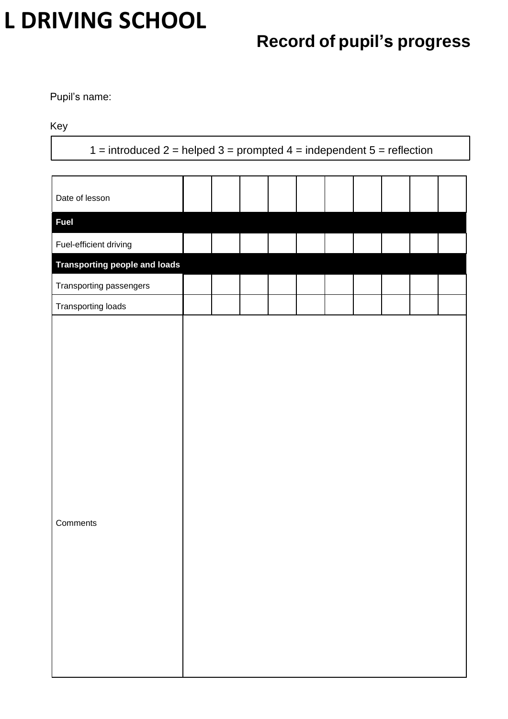### **Record of pupil's progress**

Pupil's name:

Key

1 = introduced 2 = helped 3 = prompted 4 = independent  $5$  = reflection

| Date of lesson                       |  |  |  |  |  |
|--------------------------------------|--|--|--|--|--|
| <b>Fuel</b>                          |  |  |  |  |  |
| Fuel-efficient driving               |  |  |  |  |  |
| <b>Transporting people and loads</b> |  |  |  |  |  |
| Transporting passengers              |  |  |  |  |  |
| Transporting loads                   |  |  |  |  |  |
| Comments                             |  |  |  |  |  |